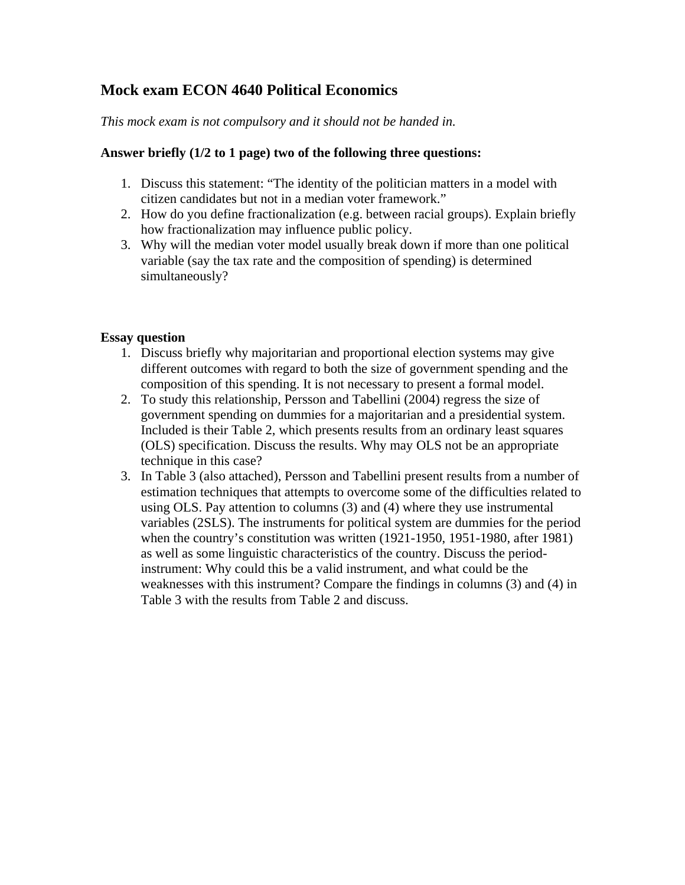## **Mock exam ECON 4640 Political Economics**

## *This mock exam is not compulsory and it should not be handed in.*

## **Answer briefly (1/2 to 1 page) two of the following three questions:**

- 1. Discuss this statement: "The identity of the politician matters in a model with citizen candidates but not in a median voter framework."
- 2. How do you define fractionalization (e.g. between racial groups). Explain briefly how fractionalization may influence public policy.
- 3. Why will the median voter model usually break down if more than one political variable (say the tax rate and the composition of spending) is determined simultaneously?

## **Essay question**

- 1. Discuss briefly why majoritarian and proportional election systems may give different outcomes with regard to both the size of government spending and the composition of this spending. It is not necessary to present a formal model.
- 2. To study this relationship, Persson and Tabellini (2004) regress the size of government spending on dummies for a majoritarian and a presidential system. Included is their Table 2, which presents results from an ordinary least squares (OLS) specification. Discuss the results. Why may OLS not be an appropriate technique in this case?
- 3. In Table 3 (also attached), Persson and Tabellini present results from a number of estimation techniques that attempts to overcome some of the difficulties related to using OLS. Pay attention to columns (3) and (4) where they use instrumental variables (2SLS). The instruments for political system are dummies for the period when the country's constitution was written (1921-1950, 1951-1980, after 1981) as well as some linguistic characteristics of the country. Discuss the periodinstrument: Why could this be a valid instrument, and what could be the weaknesses with this instrument? Compare the findings in columns (3) and (4) in Table 3 with the results from Table 2 and discuss.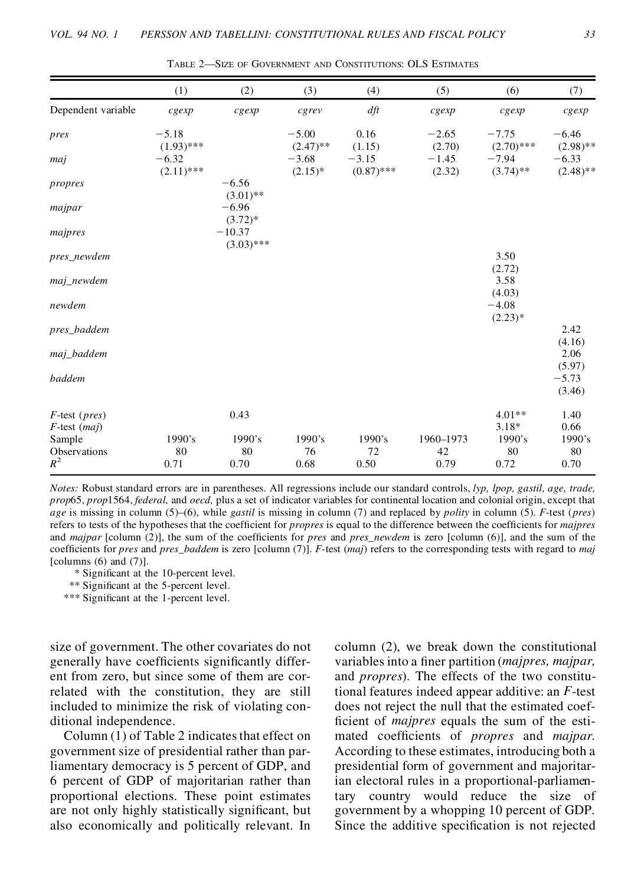|                                              | (1)                     | (2)                      | (3)                    | (4)                     | (5)               | (6)                     | (7)                    |
|----------------------------------------------|-------------------------|--------------------------|------------------------|-------------------------|-------------------|-------------------------|------------------------|
| Dependent variable                           | cgexp                   | cgexp                    | cgrev                  | dft                     | $c$ <i>gexp</i>   | cgexp                   | cgexp                  |
| pres                                         | $-5.18$<br>$(1.93)$ *** |                          | $-5.00$<br>$(2.47)$ ** | 0.16<br>(1.15)          | $-2.65$<br>(2.70) | $-7.75$<br>$(2.70)$ *** | $-6.46$<br>$(2.98)$ ** |
| maj                                          | $-6.32$<br>$(2.11)$ *** |                          | $-3.68$<br>$(2.15)^*$  | $-3.15$<br>$(0.87)$ *** | $-1.45$<br>(2.32) | $-7.94$<br>$(3.74)$ **  | $-6.33$<br>$(2.48)$ ** |
| propres                                      |                         | $-6.56$<br>$(3.01)$ **   |                        |                         |                   |                         |                        |
| majpar                                       |                         | $-6.96$<br>$(3.72)*$     |                        |                         |                   |                         |                        |
| majpres                                      |                         | $-10.37$<br>$(3.03)$ *** |                        |                         |                   |                         |                        |
| pres_newdem                                  |                         |                          |                        |                         |                   | 3.50<br>(2.72)          |                        |
| maj_newdem                                   |                         |                          |                        |                         |                   | 3.58<br>(4.03)          |                        |
| newdem                                       |                         |                          |                        |                         |                   | $-4.08$<br>$(2.23)*$    |                        |
| pres_baddem                                  |                         |                          |                        |                         |                   |                         | 2.42<br>(4.16)         |
| maj_baddem                                   |                         |                          |                        |                         |                   |                         | 2.06<br>(5.97)         |
| baddem                                       |                         |                          |                        |                         |                   |                         | $-5.73$<br>(3.46)      |
| $F$ -test ( <i>pres</i> )<br>$F$ -test (maj) |                         | 0.43                     |                        |                         |                   | $4.01**$<br>$3.18*$     | 1.40<br>0.66           |
| Sample                                       | 1990's                  | 1990's                   | 1990's                 | 1990's                  | 1960-1973         | 1990's                  | 1990's                 |
| Observations<br>$R^2$                        | 80<br>0.71              | 80<br>0.70               | 76<br>0.68             | 72<br>0.50              | 42<br>0.79        | 80<br>0.72              | 80<br>0.70             |

TABLE 2—SIZE OF GOVERNMENT AND CONSTITUTIONS: OLS ESTIMATES

*Notes:* Robust standard errors are in parentheses. All regressions include our standard controls, *lyp, lpop, gastil, age, trade, prop*65, *prop*1564, *federal,* and *oecd,* plus a set of indicator variables for continental location and colonial origin, except that *age* is missing in column (5)–(6), while *gastil* is missing in column (7) and replaced by *polity* in column (5). *F*-test (*pres*) refers to tests of the hypotheses that the coefficient for *propres* is equal to the difference between the coefficients for *majpres* and *majpar* [column (2)], the sum of the coefficients for *pres* and *pres\_newdem* is zero [column (6)], and the sum of the coef cients for *pres* and *pres\_baddem* is zero [column (7)]. *F*-test (*maj*) refers to the corresponding tests with regard to *maj* [columns  $(6)$  and  $(7)$ ].

\* Significant at the 10-percent level.

\*\* Significant at the 5-percent level.

\*\*\* Significant at the 1-percent level.